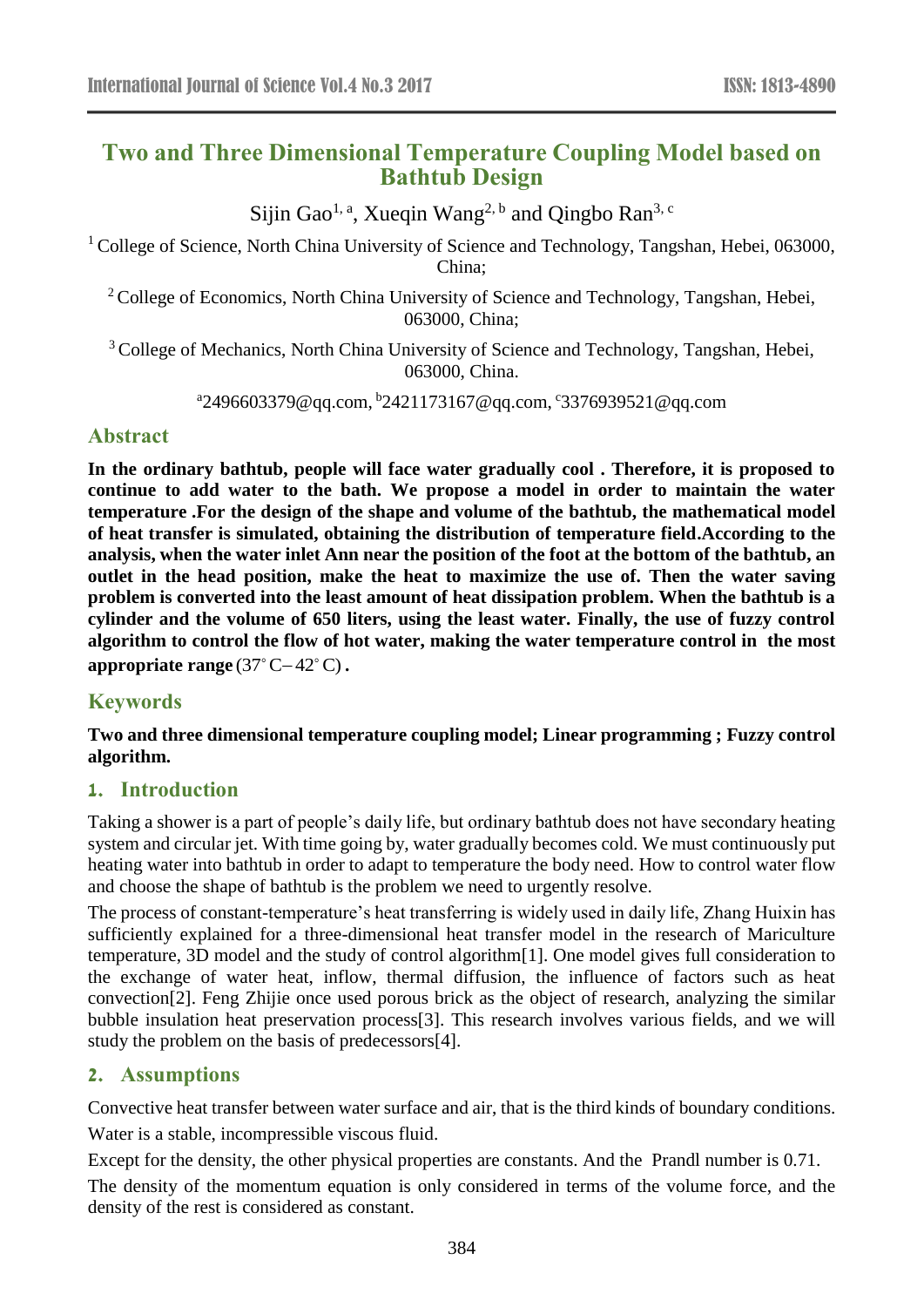# **Two and Three Dimensional Temperature Coupling Model based on Bathtub Design**

Sijin Gao<sup>1, a</sup>, Xueqin Wang<sup>2, b</sup> and Qingbo Ran<sup>3, c</sup>

<sup>1</sup> College of Science, North China University of Science and Technology, Tangshan, Hebei, 063000, China;

<sup>2</sup> College of Economics, North China University of Science and Technology, Tangshan, Hebei, 063000, China;

<sup>3</sup> College of Mechanics, North China University of Science and Technology, Tangshan, Hebei, 063000, China.

<sup>a</sup>2496603379@qq.com, <sup>b</sup>2421173167@qq.com, <sup>c</sup>3376939521@qq.com

## **Abstract**

**In the ordinary bathtub, people will face water gradually cool . Therefore, it is proposed to continue to add water to the bath. We propose a model in order to maintain the water temperature .For the design of the shape and volume of the bathtub, the mathematical model of heat transfer is simulated, obtaining the distribution of temperature field.According to the analysis, when the water inlet Ann near the position of the foot at the bottom of the bathtub, an outlet in the head position, make the heat to maximize the use of. Then the water saving problem is converted into the least amount of heat dissipation problem. When the bathtub is a cylinder and the volume of 650 liters, using the least water. Finally, the use of fuzzy control algorithm to control the flow of hot water, making the water temperature control in the most**  appropriate range  $(37^{\circ}$  C-42 $^{\circ}$ C).

# **Keywords**

**Two and three dimensional temperature coupling model; Linear programming ; Fuzzy control algorithm.** 

## **1. Introduction**

Taking a shower is a part of people's daily life, but ordinary bathtub does not have secondary heating system and circular jet. With time going by, water gradually becomes cold. We must continuously put heating water into bathtub in order to adapt to temperature the body need. How to control water flow and choose the shape of bathtub is the problem we need to urgently resolve.

The process of constant-temperature's heat transferring is widely used in daily life, Zhang Huixin has sufficiently explained for a three-dimensional heat transfer model in the research of Mariculture temperature, 3D model and the study of control algorithm[1]. One model gives full consideration to the exchange of water heat, inflow, thermal diffusion, the influence of factors such as heat convection[2]. Feng Zhijie once used porous brick as the object of research, analyzing the similar bubble insulation heat preservation process[3]. This research involves various fields, and we will study the problem on the basis of predecessors[4].

## **2. Assumptions**

Convective heat transfer between water surface and air, that is the third kinds of boundary conditions. Water is a stable, incompressible viscous fluid.

Except for the density, the other physical properties are constants. And the Prandl number is 0.71. The density of the momentum equation is only considered in terms of the volume force, and the density of the rest is considered as constant.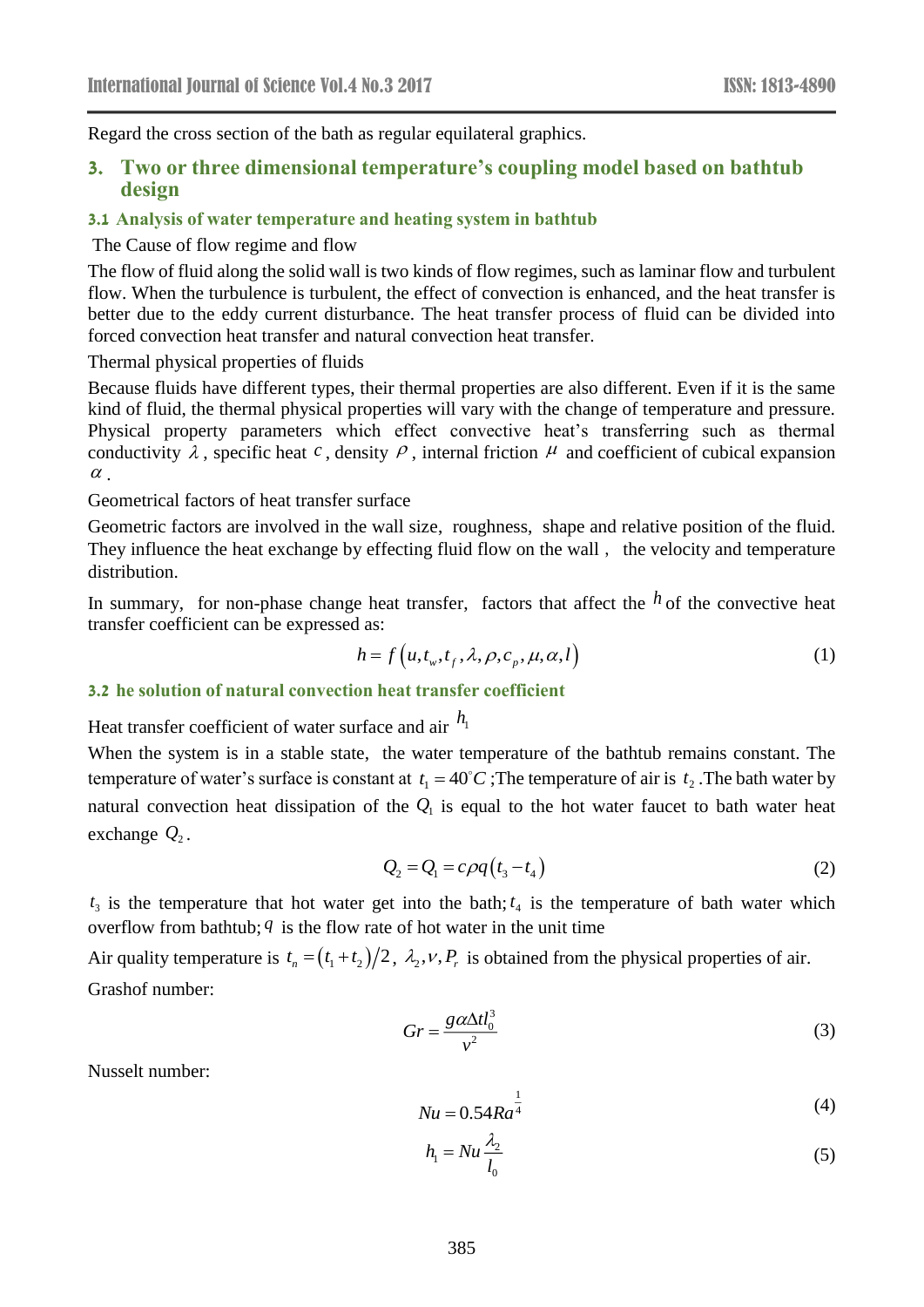Regard the cross section of the bath as regular equilateral graphics.

### **3. Two or three dimensional temperature's coupling model based on bathtub design**

#### **3.1 Analysis of water temperature and heating system in bathtub**

#### The Cause of flow regime and flow

The flow of fluid along the solid wall is two kinds of flow regimes, such as laminar flow and turbulent flow. When the turbulence is turbulent, the effect of convection is enhanced, and the heat transfer is better due to the eddy current disturbance. The heat transfer process of fluid can be divided into forced convection heat transfer and natural convection heat transfer.

Thermal physical properties of fluids

Because fluids have different types, their thermal properties are also different. Even if it is the same kind of fluid, the thermal physical properties will vary with the change of temperature and pressure. Physical property parameters which effect convective heat's transferring such as thermal conductivity  $\lambda$ , specific heat c, density  $\rho$ , internal friction  $\mu$  and coefficient of cubical expansion  $\alpha$ .

Geometrical factors of heat transfer surface

Geometric factors are involved in the wall size, roughness, shape and relative position of the fluid. They influence the heat exchange by effecting fluid flow on the wall , the velocity and temperature distribution.

In summary, for non-phase change heat transfer, factors that affect the  $h$  of the convective heat transfer coefficient can be expressed as:

$$
h = f\left(u, t_w, t_f, \lambda, \rho, c_p, \mu, \alpha, l\right)
$$
\n<sup>(1)</sup>

## **3.2 he solution of natural convection heat transfer coefficient**

Heat transfer coefficient of water surface and air  $h_1$ 

When the system is in a stable state, the water temperature of the bathtub remains constant. The temperature of water's surface is constant at  $t_1 = 40^{\circ}C$ ; The temperature of air is  $t_2$ . The bath water by natural convection heat dissipation of the  $Q<sub>1</sub>$  is equal to the hot water faucet to bath water heat exchange  $Q_2$ .

$$
Q_2 = Q_1 = c \rho q \left( t_3 - t_4 \right) \tag{2}
$$

 $t_3$  is the temperature that hot water get into the bath;  $t_4$  is the temperature of bath water which overflow from bathtub; *q* is the flow rate of hot water in the unit time

Air quality temperature is  $t_n = (t_1 + t_2)/2$ ,  $\lambda_2, v, P_r$  is obtained from the physical properties of air. Grashof number:

$$
Gr = \frac{g \alpha \Delta t l_0^3}{v^2} \tag{3}
$$

Nusselt number:

$$
Nu = 0.54Ra^{\frac{1}{4}}
$$
 (4)

$$
h_1 = Nu \frac{\lambda_2}{l_0} \tag{5}
$$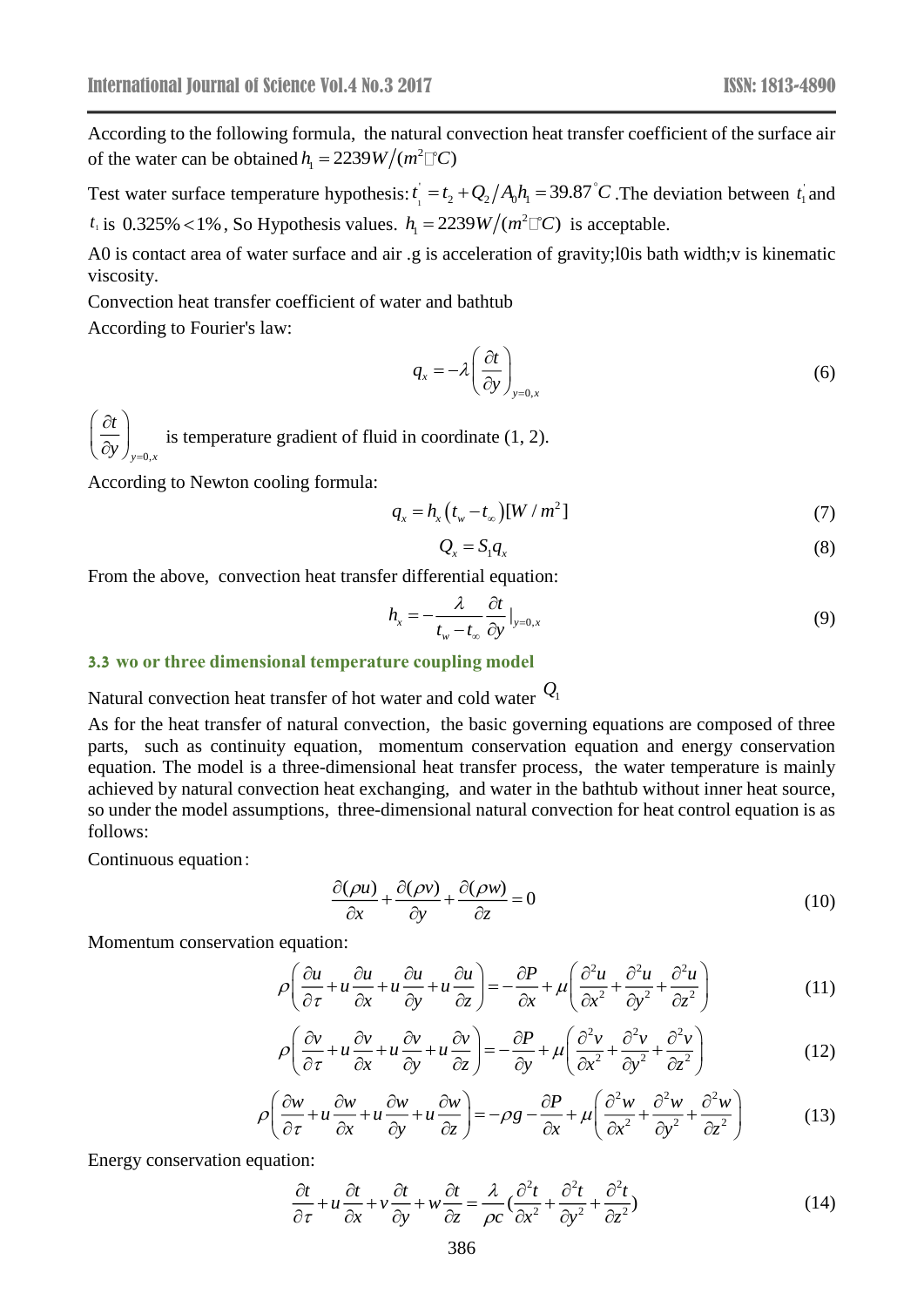According to the following formula, the natural convection heat transfer coefficient of the surface air of the water can be obtained  $h_1 = 2239W/(m^2 \square C)$ 

Test water surface temperature hypothesis:  $t_{\text{1}}$  $t'_{1} = t_{2} + Q_{2}/A_{0}h_{1} = 39.87^{\circ}C$ . The deviation between  $t_{1}$  and  $t_1$  is 0.325% <1%, So Hypothesis values.  $h_1 = 2239W/(m^2 \Box C)$  is acceptable.

A0 is contact area of water surface and air .g is acceleration of gravity;l0is bath width;v is kinematic viscosity.

Convection heat transfer coefficient of water and bathtub According to Fourier's law:

$$
q_{x} = -\lambda \left(\frac{\partial t}{\partial y}\right)_{y=0,x} \tag{6}
$$

*y*=0,*x t y* )<sub>y=</sub>  $\left( \partial t \right)$  $\left(\overline{\partial y}\right)_{y=0,x}$  is temperature gradient of fluid in coordinate (1, 2).

According to Newton cooling formula:

$$
q_x = h_x \left( t_w - t_\infty \right) \left[ W / m^2 \right] \tag{7}
$$

$$
Q_x = S_1 q_x \tag{8}
$$

From the above, convection heat transfer differential equation:

$$
h_x = -\frac{\lambda}{t_w - t_\infty} \frac{\partial t}{\partial y}\big|_{y=0,x} \tag{9}
$$

#### **3.3 wo or three dimensional temperature coupling model**

Natural convection heat transfer of hot water and cold water *Q*1

As for the heat transfer of natural convection, the basic governing equations are composed of three parts, such as continuity equation, momentum conservation equation and energy conservation equation. The model is a three-dimensional heat transfer process, the water temperature is mainly achieved by natural convection heat exchanging, and water in the bathtub without inner heat source, so under the model assumptions, three-dimensional natural convection for heat control equation is as follows:

Continuous equation:

$$
\frac{\partial(\rho u)}{\partial x} + \frac{\partial(\rho v)}{\partial y} + \frac{\partial(\rho w)}{\partial z} = 0
$$
\n(10)

Momentum conservation equation:

$$
\rho \left( \frac{\partial u}{\partial \tau} + u \frac{\partial u}{\partial x} + u \frac{\partial u}{\partial y} + u \frac{\partial u}{\partial z} \right) = -\frac{\partial P}{\partial x} + \mu \left( \frac{\partial^2 u}{\partial x^2} + \frac{\partial^2 u}{\partial y^2} + \frac{\partial^2 u}{\partial z^2} \right)
$$
(11)  

$$
\rho \left( \frac{\partial v}{\partial x} + u \frac{\partial v}{\partial x} + u \frac{\partial v}{\partial y} + u \frac{\partial v}{\partial z} \right) = -\frac{\partial P}{\partial x} + \mu \left( \frac{\partial^2 v}{\partial x^2} + \frac{\partial^2 v}{\partial y^2} + \frac{\partial^2 v}{\partial z^2} \right)
$$
(12)

$$
\rho \left( \frac{\partial v}{\partial \tau} + u \frac{\partial v}{\partial x} + u \frac{\partial v}{\partial z} \right) = -\frac{\partial v}{\partial x} + \mu \left( \frac{\partial v}{\partial x^2} + \frac{\partial v}{\partial y^2} + \frac{\partial v}{\partial z^2} \right)
$$
(11)  

$$
\rho \left( \frac{\partial v}{\partial \tau} + u \frac{\partial v}{\partial x} + u \frac{\partial v}{\partial y} + u \frac{\partial v}{\partial z} \right) = -\frac{\partial P}{\partial y} + \mu \left( \frac{\partial^2 v}{\partial x^2} + \frac{\partial^2 v}{\partial y^2} + \frac{\partial^2 v}{\partial z^2} \right)
$$
(12)

$$
\rho \left( \frac{\partial w}{\partial \tau} + u \frac{\partial w}{\partial x} + u \frac{\partial w}{\partial y} + u \frac{\partial w}{\partial z} \right) = -\rho g - \frac{\partial P}{\partial x} + \mu \left( \frac{\partial^2 w}{\partial x^2} + \frac{\partial^2 w}{\partial y^2} + \frac{\partial^2 w}{\partial z^2} \right) \tag{13}
$$

Energy conservation equation:

$$
\frac{\partial t}{\partial \tau} + u \frac{\partial t}{\partial x} + v \frac{\partial t}{\partial y} + w \frac{\partial t}{\partial z} = \frac{\lambda}{\rho c} \left( \frac{\partial^2 t}{\partial x^2} + \frac{\partial^2 t}{\partial y^2} + \frac{\partial^2 t}{\partial z^2} \right)
$$
(14)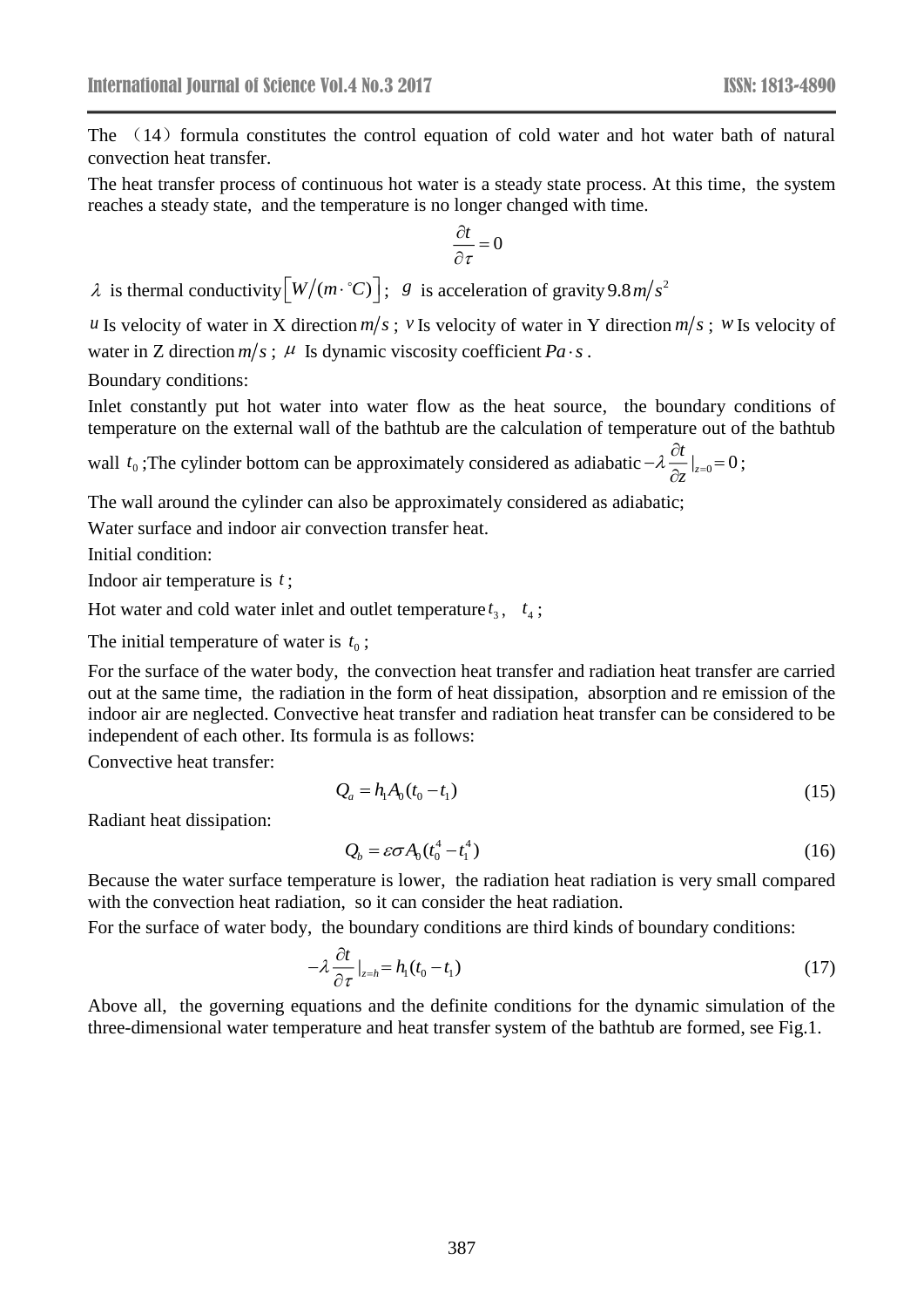The  $(14)$  formula constitutes the control equation of cold water and hot water bath of natural convection heat transfer.

The heat transfer process of continuous hot water is a steady state process. At this time, the system reaches a steady state, and the temperature is no longer changed with time.

$$
\frac{\partial t}{\partial \tau} = 0
$$

 $\lambda$  is thermal conductivity  $[W/(m \cdot {}^{\circ}C)]$ ; *g* is acceleration of gravity 9.8*m*/*s*<sup>2</sup>

*u* Is velocity of water in X direction  $m/s$ ; *v* Is velocity of water in Y direction  $m/s$ ; *w* Is velocity of water in Z direction  $m/s$ ;  $\mu$  Is dynamic viscosity coefficient  $Pa \cdot s$ .

Boundary conditions:

Inlet constantly put hot water into water flow as the heat source, the boundary conditions of temperature on the external wall of the bathtub are the calculation of temperature out of the bathtub

wall  $t_0$ ; The cylinder bottom can be approximately considered as adiabatic  $-\lambda \frac{\partial t}{\partial x}\Big|_{z=0} = 0$ *z*  $-\lambda\,\frac{\partial t}{\partial z}\big|_{z=0}\!\!=\!0\,;$ 

The wall around the cylinder can also be approximately considered as adiabatic;

Water surface and indoor air convection transfer heat.

Initial condition:

Indoor air temperature is *t* ;

Hot water and cold water inlet and outlet temperature  $t_3$ ,  $t_4$ ;

The initial temperature of water is  $t_0$ ;

For the surface of the water body, the convection heat transfer and radiation heat transfer are carried out at the same time, the radiation in the form of heat dissipation, absorption and re emission of the indoor air are neglected. Convective heat transfer and radiation heat transfer can be considered to be independent of each other. Its formula is as follows:

Convective heat transfer:

$$
Q_a = h_1 A_0 (t_0 - t_1) \tag{15}
$$

Radiant heat dissipation:

$$
Q_b = \varepsilon \sigma A_0 (t_0^4 - t_1^4) \tag{16}
$$

Because the water surface temperature is lower, the radiation heat radiation is very small compared with the convection heat radiation, so it can consider the heat radiation.

For the surface of water body, the boundary conditions are third kinds of boundary conditions:

$$
-\lambda \frac{\partial t}{\partial \tau}\big|_{z=h} = h_1(t_0 - t_1) \tag{17}
$$

Above all, the governing equations and the definite conditions for the dynamic simulation of the three-dimensional water temperature and heat transfer system of the bathtub are formed, see Fig.1.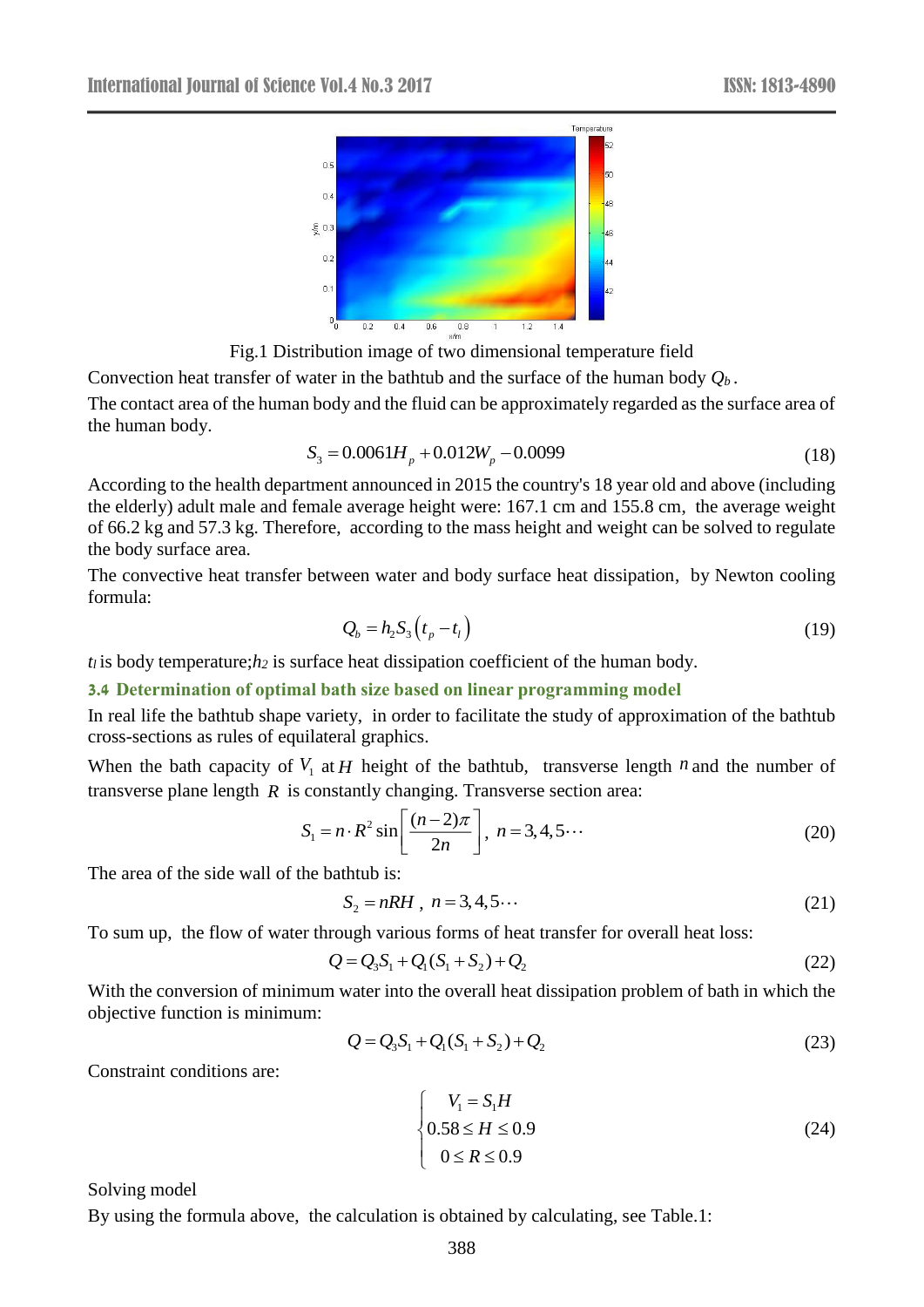

Fig.1 Distribution image of two dimensional temperature field

Convection heat transfer of water in the bathtub and the surface of the human body *Qb .* The contact area of the human body and the fluid can be approximately regarded as the surface area of the human body.

$$
S_3 = 0.0061H_p + 0.012W_p - 0.0099\tag{18}
$$

According to the health department announced in 2015 the country's 18 year old and above (including the elderly) adult male and female average height were: 167.1 cm and 155.8 cm, the average weight of 66.2 kg and 57.3 kg. Therefore, according to the mass height and weight can be solved to regulate the body surface area.

The convective heat transfer between water and body surface heat dissipation, by Newton cooling formula:

$$
Q_b = h_2 S_3 \left( t_p - t_l \right) \tag{19}
$$

 $t_l$  is body temperature; $h_2$  is surface heat dissipation coefficient of the human body.

**3.4 Determination of optimal bath size based on linear programming model**

In real life the bathtub shape variety, in order to facilitate the study of approximation of the bathtub cross-sections as rules of equilateral graphics.

When the bath capacity of  $V_1$  at  $H$  height of the bathtub, transverse length  $n$  and the number of transverse plane length *R* is constantly changing. Transverse section area:

$$
S_1 = n \cdot R^2 \sin\left[\frac{(n-2)\pi}{2n}\right], \ n = 3, 4, 5 \cdots \tag{20}
$$

The area of the side wall of the bathtub is:

$$
S_2 = nRH, \quad n = 3, 4, 5 \cdots \tag{21}
$$

To sum up, the flow of water through various forms of heat transfer for overall heat loss:

$$
Q = Q_3 S_1 + Q_1 (S_1 + S_2) + Q_2
$$
 (22)

With the conversion of minimum water into the overall heat dissipation problem of bath in which the objective function is minimum:

$$
Q = Q_3 S_1 + Q_1 (S_1 + S_2) + Q_2
$$
\n(23)

Constraint conditions are:

$$
\begin{cases}\nV_1 = S_1 H \\
0.58 \le H \le 0.9 \\
0 \le R \le 0.9\n\end{cases}
$$
\n(24)

Solving model

By using the formula above, the calculation is obtained by calculating, see Table.1: